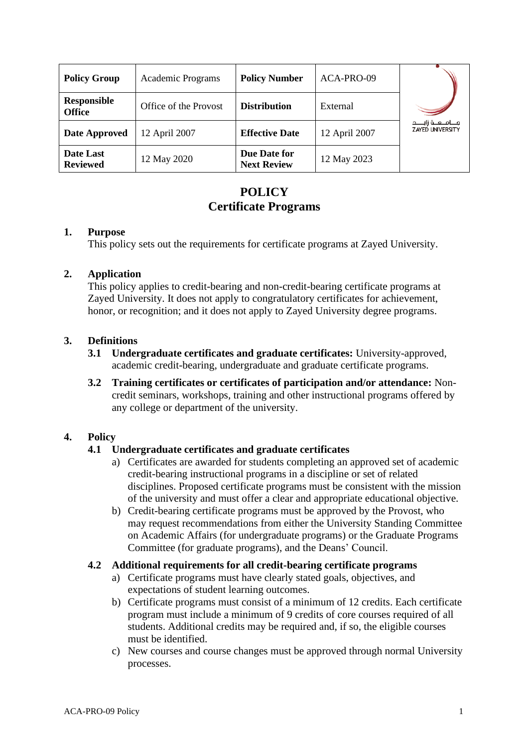| <b>Policy Group</b>                 | <b>Academic Programs</b> | <b>Policy Number</b>               | ACA-PRO-09    |                                                  |
|-------------------------------------|--------------------------|------------------------------------|---------------|--------------------------------------------------|
| <b>Responsible</b><br><b>Office</b> | Office of the Provost    | <b>Distribution</b>                | External      |                                                  |
| Date Approved                       | 12 April 2007            | <b>Effective Date</b>              | 12 April 2007 | مـــامــــه زايـــــد<br><b>ZAYED UNIVERSITY</b> |
| Date Last<br><b>Reviewed</b>        | 12 May 2020              | Due Date for<br><b>Next Review</b> | 12 May 2023   |                                                  |

# **POLICY Certificate Programs**

## **1. Purpose**

This policy sets out the requirements for certificate programs at Zayed University.

## **2. Application**

This policy applies to credit-bearing and non-credit-bearing certificate programs at Zayed University. It does not apply to congratulatory certificates for achievement, honor, or recognition; and it does not apply to Zayed University degree programs.

## **3. Definitions**

- **3.1 Undergraduate certificates and graduate certificates:** University-approved, academic credit-bearing, undergraduate and graduate certificate programs.
- **3.2 Training certificates or certificates of participation and/or attendance:** Noncredit seminars, workshops, training and other instructional programs offered by any college or department of the university.

# **4. Policy**

# **4.1 Undergraduate certificates and graduate certificates**

- a) Certificates are awarded for students completing an approved set of academic credit-bearing instructional programs in a discipline or set of related disciplines. Proposed certificate programs must be consistent with the mission of the university and must offer a clear and appropriate educational objective.
- b) Credit-bearing certificate programs must be approved by the Provost, who may request recommendations from either the University Standing Committee on Academic Affairs (for undergraduate programs) or the Graduate Programs Committee (for graduate programs), and the Deans' Council.

#### **4.2 Additional requirements for all credit-bearing certificate programs**

- a) Certificate programs must have clearly stated goals, objectives, and expectations of student learning outcomes.
- b) Certificate programs must consist of a minimum of 12 credits. Each certificate program must include a minimum of 9 credits of core courses required of all students. Additional credits may be required and, if so, the eligible courses must be identified.
- c) New courses and course changes must be approved through normal University processes.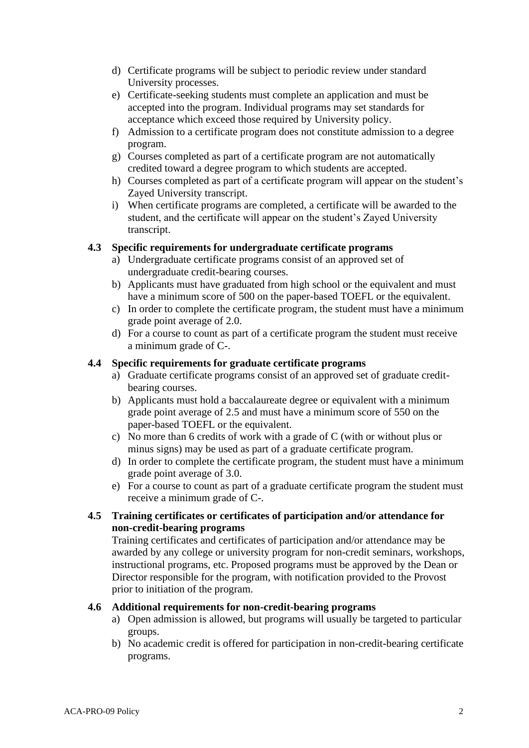- d) Certificate programs will be subject to periodic review under standard University processes.
- e) Certificate-seeking students must complete an application and must be accepted into the program. Individual programs may set standards for acceptance which exceed those required by University policy.
- f) Admission to a certificate program does not constitute admission to a degree program.
- g) Courses completed as part of a certificate program are not automatically credited toward a degree program to which students are accepted.
- h) Courses completed as part of a certificate program will appear on the student's Zayed University transcript.
- i) When certificate programs are completed, a certificate will be awarded to the student, and the certificate will appear on the student's Zayed University transcript.

## **4.3 Specific requirements for undergraduate certificate programs**

- a) Undergraduate certificate programs consist of an approved set of undergraduate credit-bearing courses.
- b) Applicants must have graduated from high school or the equivalent and must have a minimum score of 500 on the paper-based TOEFL or the equivalent.
- c) In order to complete the certificate program, the student must have a minimum grade point average of 2.0.
- d) For a course to count as part of a certificate program the student must receive a minimum grade of C-.

## **4.4 Specific requirements for graduate certificate programs**

- a) Graduate certificate programs consist of an approved set of graduate creditbearing courses.
- b) Applicants must hold a baccalaureate degree or equivalent with a minimum grade point average of 2.5 and must have a minimum score of 550 on the paper-based TOEFL or the equivalent.
- c) No more than 6 credits of work with a grade of C (with or without plus or minus signs) may be used as part of a graduate certificate program.
- d) In order to complete the certificate program, the student must have a minimum grade point average of 3.0.
- e) For a course to count as part of a graduate certificate program the student must receive a minimum grade of C-.

# **4.5 Training certificates or certificates of participation and/or attendance for non-credit-bearing programs**

Training certificates and certificates of participation and/or attendance may be awarded by any college or university program for non-credit seminars, workshops, instructional programs, etc. Proposed programs must be approved by the Dean or Director responsible for the program, with notification provided to the Provost prior to initiation of the program.

#### **4.6 Additional requirements for non-credit-bearing programs**

- a) Open admission is allowed, but programs will usually be targeted to particular groups.
- b) No academic credit is offered for participation in non-credit-bearing certificate programs.